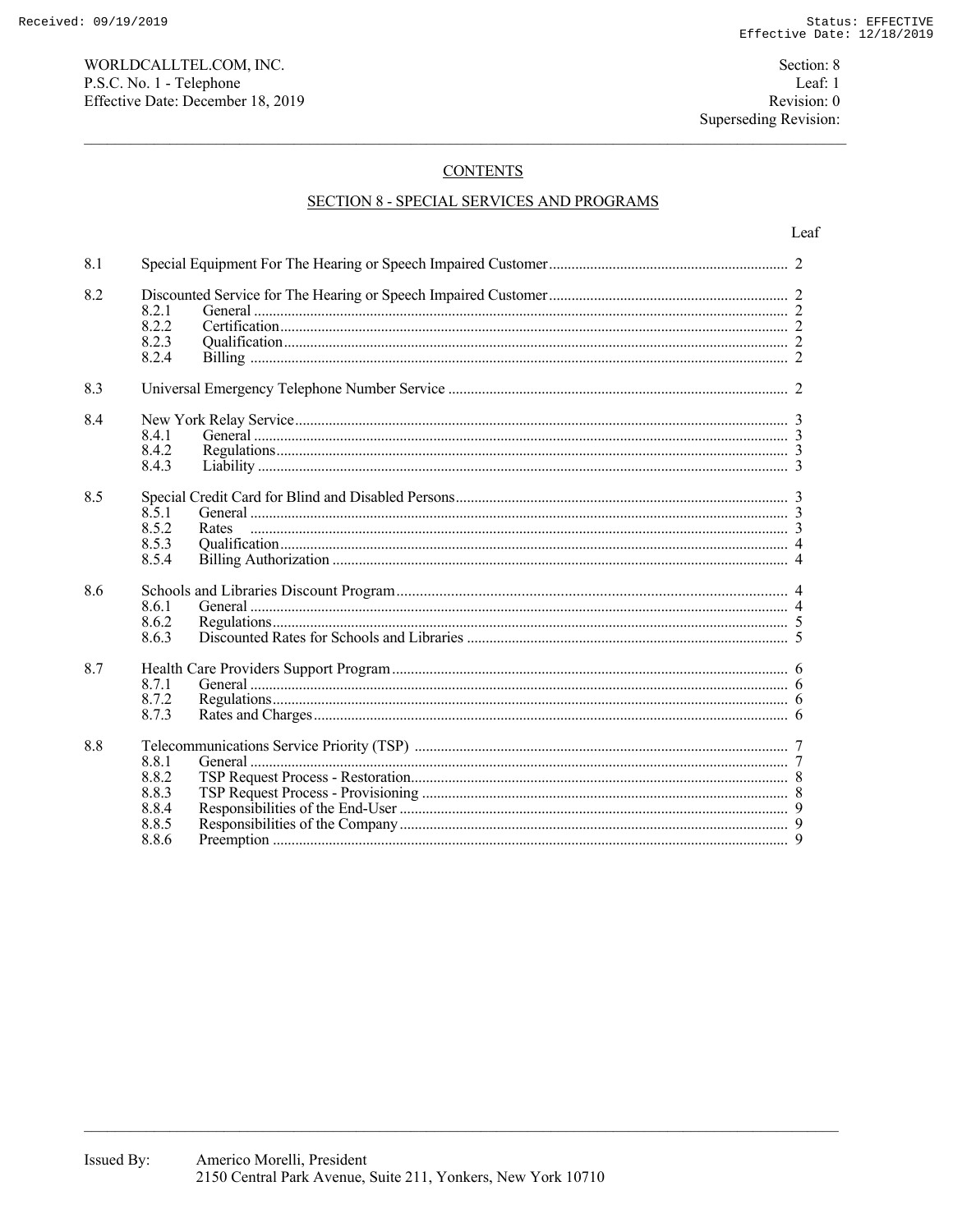# **CONTENTS**

# **SECTION 8 - SPECIAL SERVICES AND PROGRAMS**

| 8.1 |                                                    |  |
|-----|----------------------------------------------------|--|
| 8.2 | 8.2.1<br>8.2.2<br>8.2.3<br>8.2.4                   |  |
| 8.3 |                                                    |  |
| 8.4 | 8.4.1<br>8.4.2<br>8.4.3                            |  |
| 8.5 | 8.5.1<br>8.5.2<br>Rates<br>8.5.3<br>8.5.4          |  |
| 8.6 | 8.6.1<br>8.6.2<br>8.6.3                            |  |
| 8.7 | 8.7.1<br>8.7.2<br>8.7.3                            |  |
| 8.8 | 8.8.1<br>8.8.2<br>8.8.3<br>8.8.4<br>8.8.5<br>8.8.6 |  |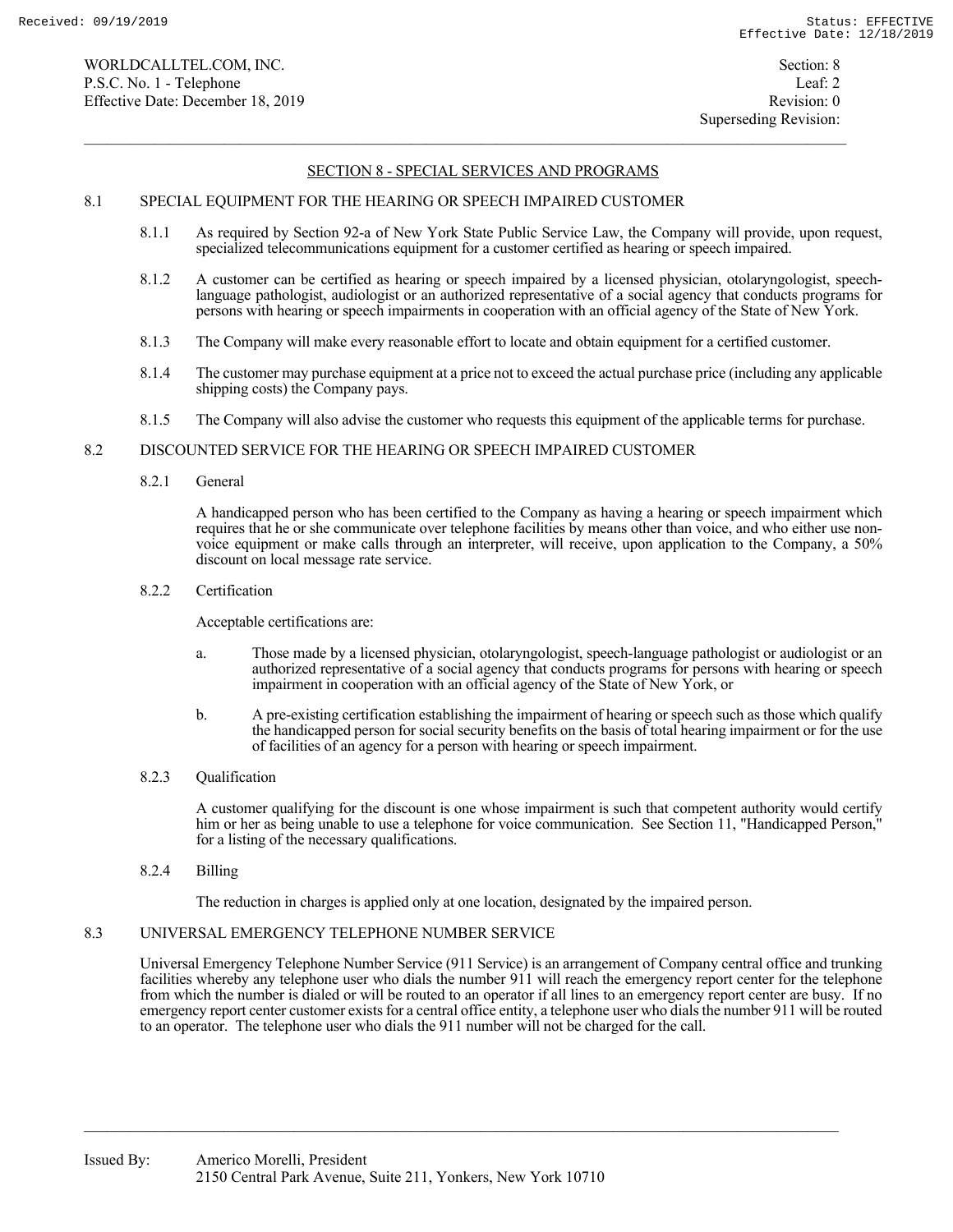### 8.1 SPECIAL EQUIPMENT FOR THE HEARING OR SPEECH IMPAIRED CUSTOMER

- 8.1.1 As required by Section 92-a of New York State Public Service Law, the Company will provide, upon request, specialized telecommunications equipment for a customer certified as hearing or speech impaired.
- 8.1.2 A customer can be certified as hearing or speech impaired by a licensed physician, otolaryngologist, speechlanguage pathologist, audiologist or an authorized representative of a social agency that conducts programs for persons with hearing or speech impairments in cooperation with an official agency of the State of New York.
- 8.1.3 The Company will make every reasonable effort to locate and obtain equipment for a certified customer.
- 8.1.4 The customer may purchase equipment at a price not to exceed the actual purchase price (including any applicable shipping costs) the Company pays.
- 8.1.5 The Company will also advise the customer who requests this equipment of the applicable terms for purchase.

#### 8.2 DISCOUNTED SERVICE FOR THE HEARING OR SPEECH IMPAIRED CUSTOMER

8.2.1 General

 A handicapped person who has been certified to the Company as having a hearing or speech impairment which requires that he or she communicate over telephone facilities by means other than voice, and who either use nonvoice equipment or make calls through an interpreter, will receive, upon application to the Company, a 50% discount on local message rate service.

#### 8.2.2 Certification

Acceptable certifications are:

- a. Those made by a licensed physician, otolaryngologist, speech-language pathologist or audiologist or an authorized representative of a social agency that conducts programs for persons with hearing or speech impairment in cooperation with an official agency of the State of New York, or
- b. A pre-existing certification establishing the impairment of hearing or speech such as those which qualify the handicapped person for social security benefits on the basis of total hearing impairment or for the use of facilities of an agency for a person with hearing or speech impairment.
- 8.2.3 Qualification

 A customer qualifying for the discount is one whose impairment is such that competent authority would certify him or her as being unable to use a telephone for voice communication. See Section 11, "Handicapped Person," for a listing of the necessary qualifications.

8.2.4 Billing

The reduction in charges is applied only at one location, designated by the impaired person.

### 8.3 UNIVERSAL EMERGENCY TELEPHONE NUMBER SERVICE

 Universal Emergency Telephone Number Service (911 Service) is an arrangement of Company central office and trunking facilities whereby any telephone user who dials the number 911 will reach the emergency report center for the telephone from which the number is dialed or will be routed to an operator if all lines to an emergency report center are busy. If no emergency report center customer exists for a central office entity, a telephone user who dials the number 911 will be routed to an operator. The telephone user who dials the 911 number will not be charged for the call.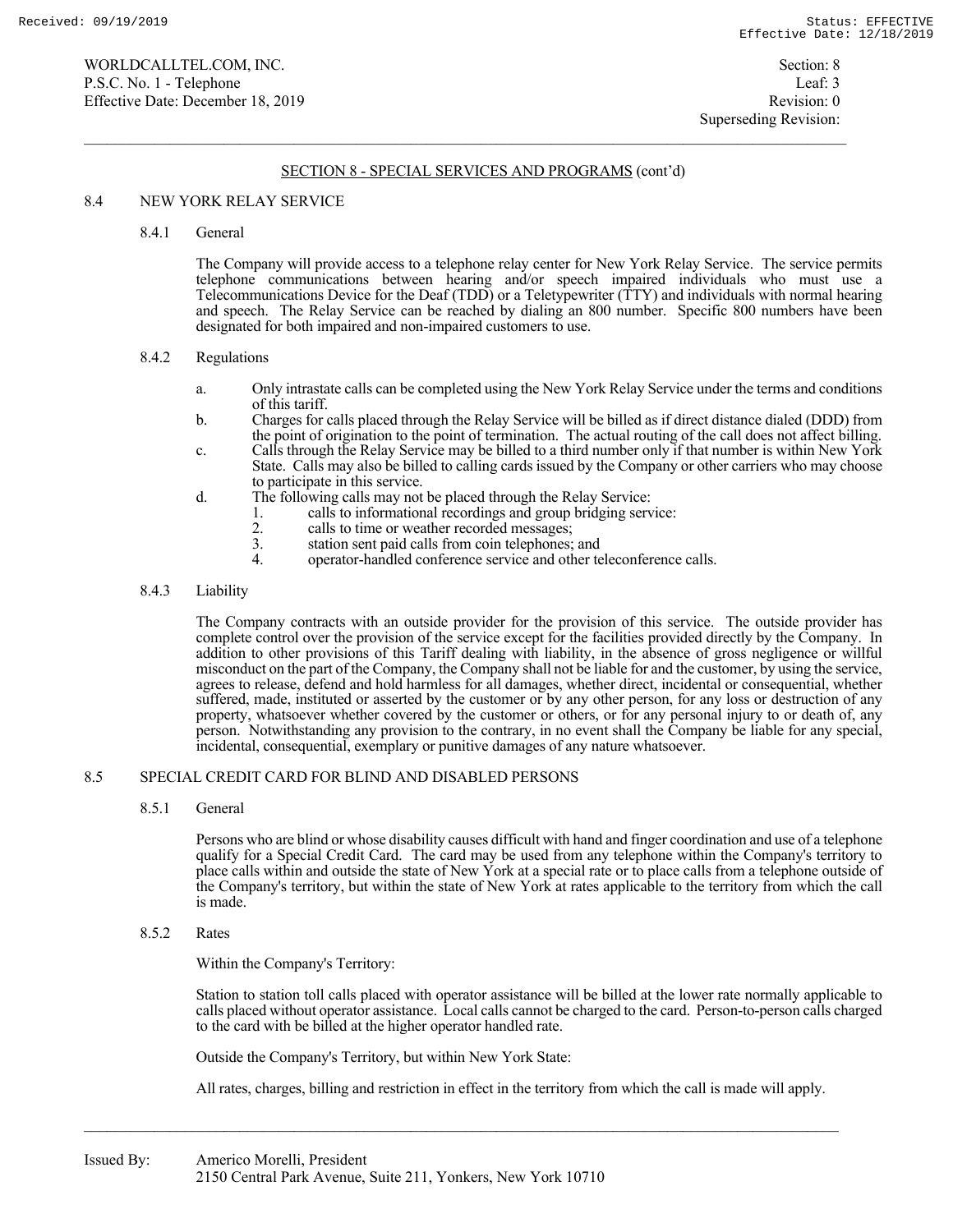### 8.4 NEW YORK RELAY SERVICE

#### 8.4.1 General

 The Company will provide access to a telephone relay center for New York Relay Service. The service permits telephone communications between hearing and/or speech impaired individuals who must use a Telecommunications Device for the Deaf (TDD) or a Teletypewriter (TTY) and individuals with normal hearing and speech. The Relay Service can be reached by dialing an 800 number. Specific 800 numbers have been designated for both impaired and non-impaired customers to use.

#### 8.4.2 Regulations

- a. Only intrastate calls can be completed using the New York Relay Service under the terms and conditions of this tariff.
- b. Charges for calls placed through the Relay Service will be billed as if direct distance dialed (DDD) from the point of origination to the point of termination. The actual routing of the call does not affect billing.
- c. Calls through the Relay Service may be billed to a third number only if that number is within New York State. Calls may also be billed to calling cards issued by the Company or other carriers who may choose to participate in this service.
- d. The following calls may not be placed through the Relay Service:
	- 1. calls to informational recordings and group bridging service:<br>2. calls to time or weather recorded messages;
	- 2. calls to time or weather recorded messages;<br>3. station sent paid calls from coin telephones;
	-
	- 3. station sent paid calls from coin telephones; and operator-handled conference service and other teleconference calls.

#### 8.4.3 Liability

 The Company contracts with an outside provider for the provision of this service. The outside provider has complete control over the provision of the service except for the facilities provided directly by the Company. In addition to other provisions of this Tariff dealing with liability, in the absence of gross negligence or willful misconduct on the part of the Company, the Company shall not be liable for and the customer, by using the service, agrees to release, defend and hold harmless for all damages, whether direct, incidental or consequential, whether suffered, made, instituted or asserted by the customer or by any other person, for any loss or destruction of any property, whatsoever whether covered by the customer or others, or for any personal injury to or death of, any person. Notwithstanding any provision to the contrary, in no event shall the Company be liable for any special, incidental, consequential, exemplary or punitive damages of any nature whatsoever.

#### 8.5 SPECIAL CREDIT CARD FOR BLIND AND DISABLED PERSONS

#### 8.5.1 General

 Persons who are blind or whose disability causes difficult with hand and finger coordination and use of a telephone qualify for a Special Credit Card. The card may be used from any telephone within the Company's territory to place calls within and outside the state of New York at a special rate or to place calls from a telephone outside of the Company's territory, but within the state of New York at rates applicable to the territory from which the call is made.

## 8.5.2 Rates

Within the Company's Territory:

 Station to station toll calls placed with operator assistance will be billed at the lower rate normally applicable to calls placed without operator assistance. Local calls cannot be charged to the card. Person-to-person calls charged to the card with be billed at the higher operator handled rate.

Outside the Company's Territory, but within New York State:

All rates, charges, billing and restriction in effect in the territory from which the call is made will apply.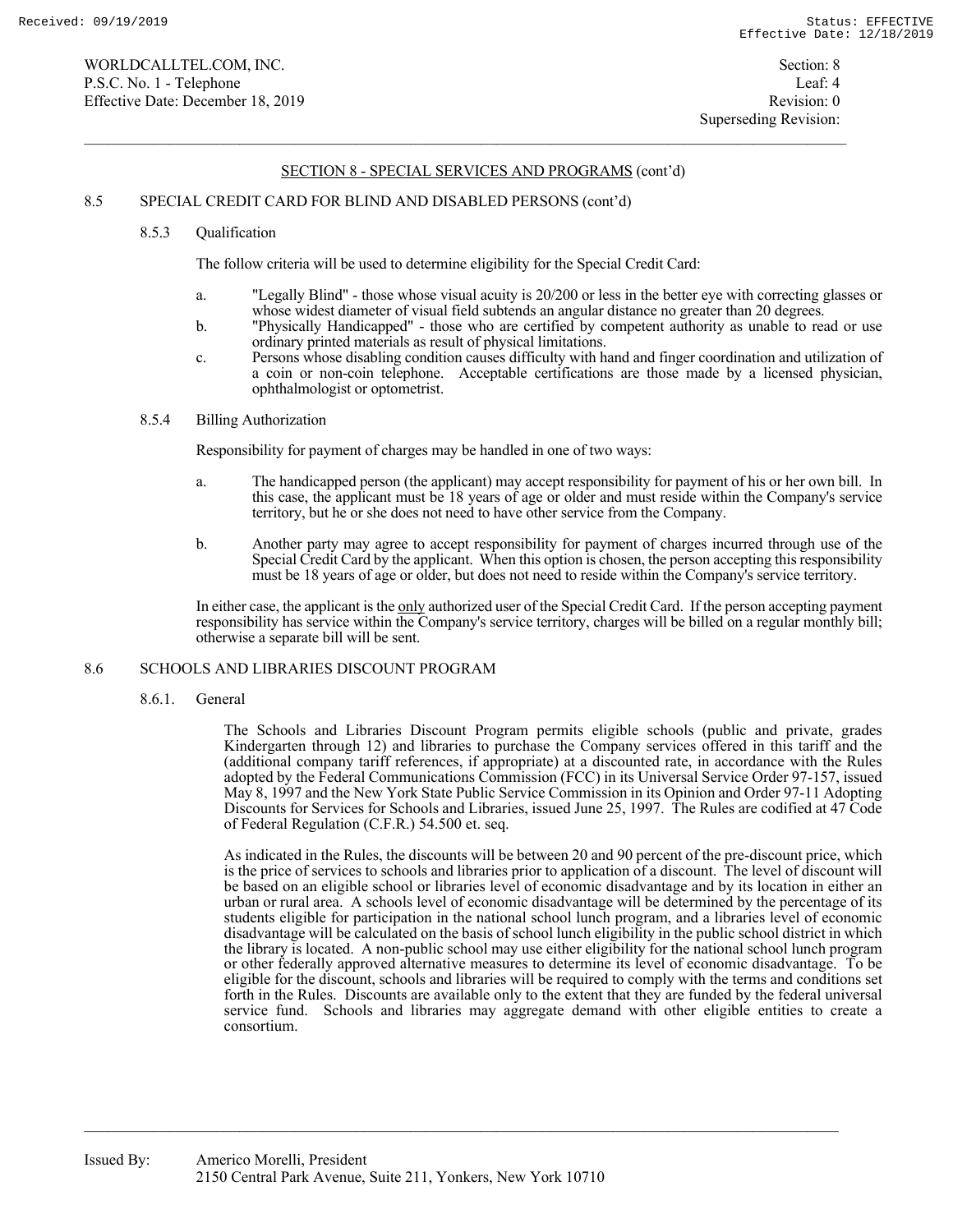# 8.5 SPECIAL CREDIT CARD FOR BLIND AND DISABLED PERSONS (cont'd)

## 8.5.3 Qualification

The follow criteria will be used to determine eligibility for the Special Credit Card:

- a. "Legally Blind" those whose visual acuity is 20/200 or less in the better eye with correcting glasses or whose widest diameter of visual field subtends an angular distance no greater than 20 degrees.
- b. "Physically Handicapped" those who are certified by competent authority as unable to read or use ordinary printed materials as result of physical limitations.
- c. Persons whose disabling condition causes difficulty with hand and finger coordination and utilization of a coin or non-coin telephone. Acceptable certifications are those made by a licensed physician, ophthalmologist or optometrist.

# 8.5.4 Billing Authorization

Responsibility for payment of charges may be handled in one of two ways:

- a. The handicapped person (the applicant) may accept responsibility for payment of his or her own bill. In this case, the applicant must be 18 years of age or older and must reside within the Company's service territory, but he or she does not need to have other service from the Company.
- b. Another party may agree to accept responsibility for payment of charges incurred through use of the Special Credit Card by the applicant. When this option is chosen, the person accepting this responsibility must be 18 years of age or older, but does not need to reside within the Company's service territory.

In either case, the applicant is the only authorized user of the Special Credit Card. If the person accepting payment responsibility has service within the Company's service territory, charges will be billed on a regular monthly bill; otherwise a separate bill will be sent.

# 8.6 SCHOOLS AND LIBRARIES DISCOUNT PROGRAM

8.6.1. General

The Schools and Libraries Discount Program permits eligible schools (public and private, grades Kindergarten through 12) and libraries to purchase the Company services offered in this tariff and the (additional company tariff references, if appropriate) at a discounted rate, in accordance with the Rules adopted by the Federal Communications Commission (FCC) in its Universal Service Order 97-157, issued May 8, 1997 and the New York State Public Service Commission in its Opinion and Order 97-11 Adopting Discounts for Services for Schools and Libraries, issued June 25, 1997. The Rules are codified at 47 Code of Federal Regulation (C.F.R.) 54.500 et. seq.

As indicated in the Rules, the discounts will be between 20 and 90 percent of the pre-discount price, which is the price of services to schools and libraries prior to application of a discount. The level of discount will be based on an eligible school or libraries level of economic disadvantage and by its location in either an urban or rural area. A schools level of economic disadvantage will be determined by the percentage of its students eligible for participation in the national school lunch program, and a libraries level of economic disadvantage will be calculated on the basis of school lunch eligibility in the public school district in which the library is located. A non-public school may use either eligibility for the national school lunch program or other federally approved alternative measures to determine its level of economic disadvantage. To be eligible for the discount, schools and libraries will be required to comply with the terms and conditions set forth in the Rules. Discounts are available only to the extent that they are funded by the federal universal service fund. Schools and libraries may aggregate demand with other eligible entities to create a consortium.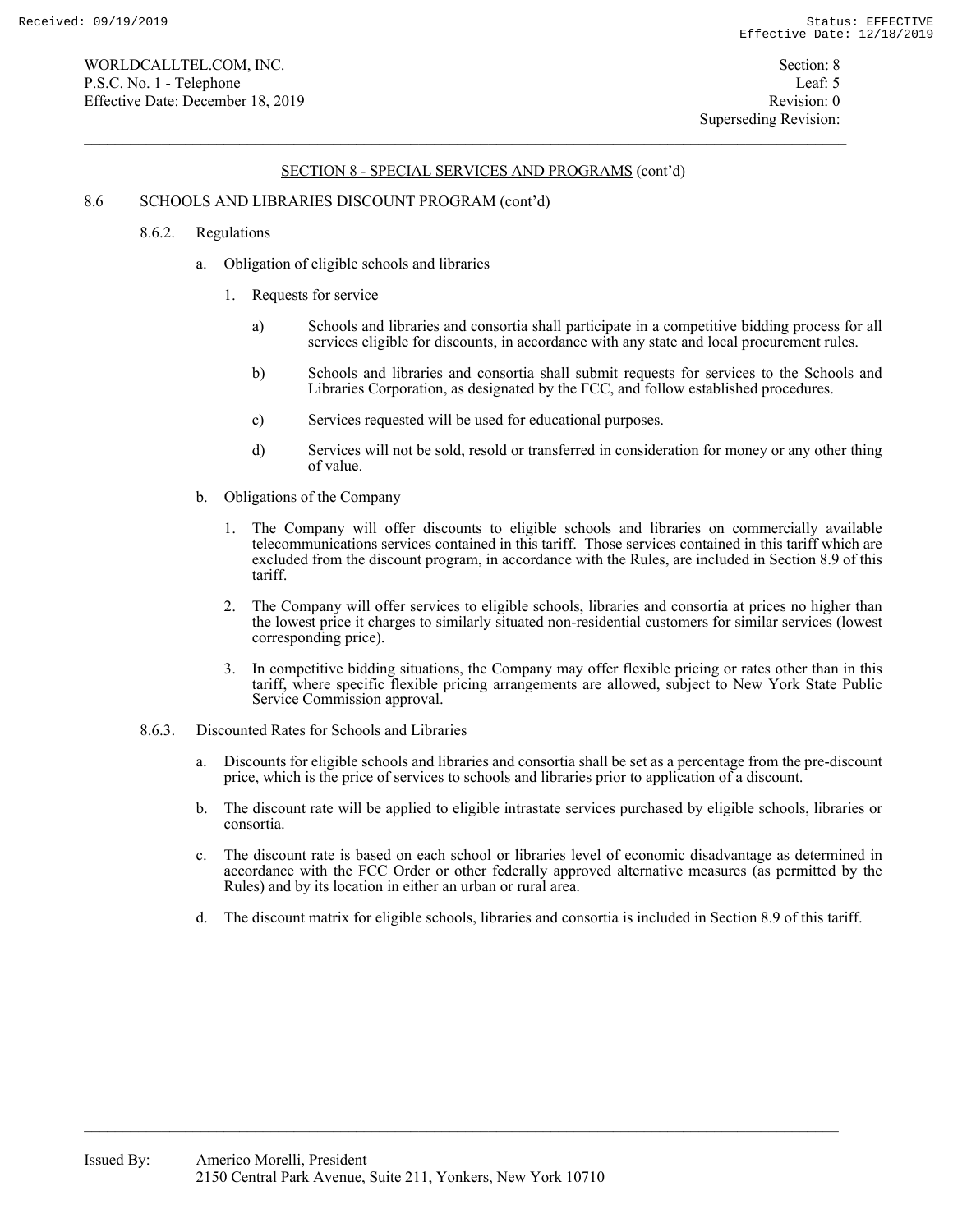### 8.6 SCHOOLS AND LIBRARIES DISCOUNT PROGRAM (cont'd)

- 8.6.2. Regulations
	- a. Obligation of eligible schools and libraries
		- 1. Requests for service
			- a) Schools and libraries and consortia shall participate in a competitive bidding process for all services eligible for discounts, in accordance with any state and local procurement rules.
			- b) Schools and libraries and consortia shall submit requests for services to the Schools and Libraries Corporation, as designated by the FCC, and follow established procedures.
			- c) Services requested will be used for educational purposes.
			- d) Services will not be sold, resold or transferred in consideration for money or any other thing of value.
	- b. Obligations of the Company
		- 1. The Company will offer discounts to eligible schools and libraries on commercially available telecommunications services contained in this tariff. Those services contained in this tariff which are excluded from the discount program, in accordance with the Rules, are included in Section 8.9 of this tariff.
		- 2. The Company will offer services to eligible schools, libraries and consortia at prices no higher than the lowest price it charges to similarly situated non-residential customers for similar services (lowest corresponding price).
		- 3. In competitive bidding situations, the Company may offer flexible pricing or rates other than in this tariff, where specific flexible pricing arrangements are allowed, subject to New York State Public Service Commission approval.
- 8.6.3. Discounted Rates for Schools and Libraries
	- a. Discounts for eligible schools and libraries and consortia shall be set as a percentage from the pre-discount price, which is the price of services to schools and libraries prior to application of a discount.
	- b. The discount rate will be applied to eligible intrastate services purchased by eligible schools, libraries or consortia.
	- c. The discount rate is based on each school or libraries level of economic disadvantage as determined in accordance with the FCC Order or other federally approved alternative measures (as permitted by the Rules) and by its location in either an urban or rural area.
	- d. The discount matrix for eligible schools, libraries and consortia is included in Section 8.9 of this tariff.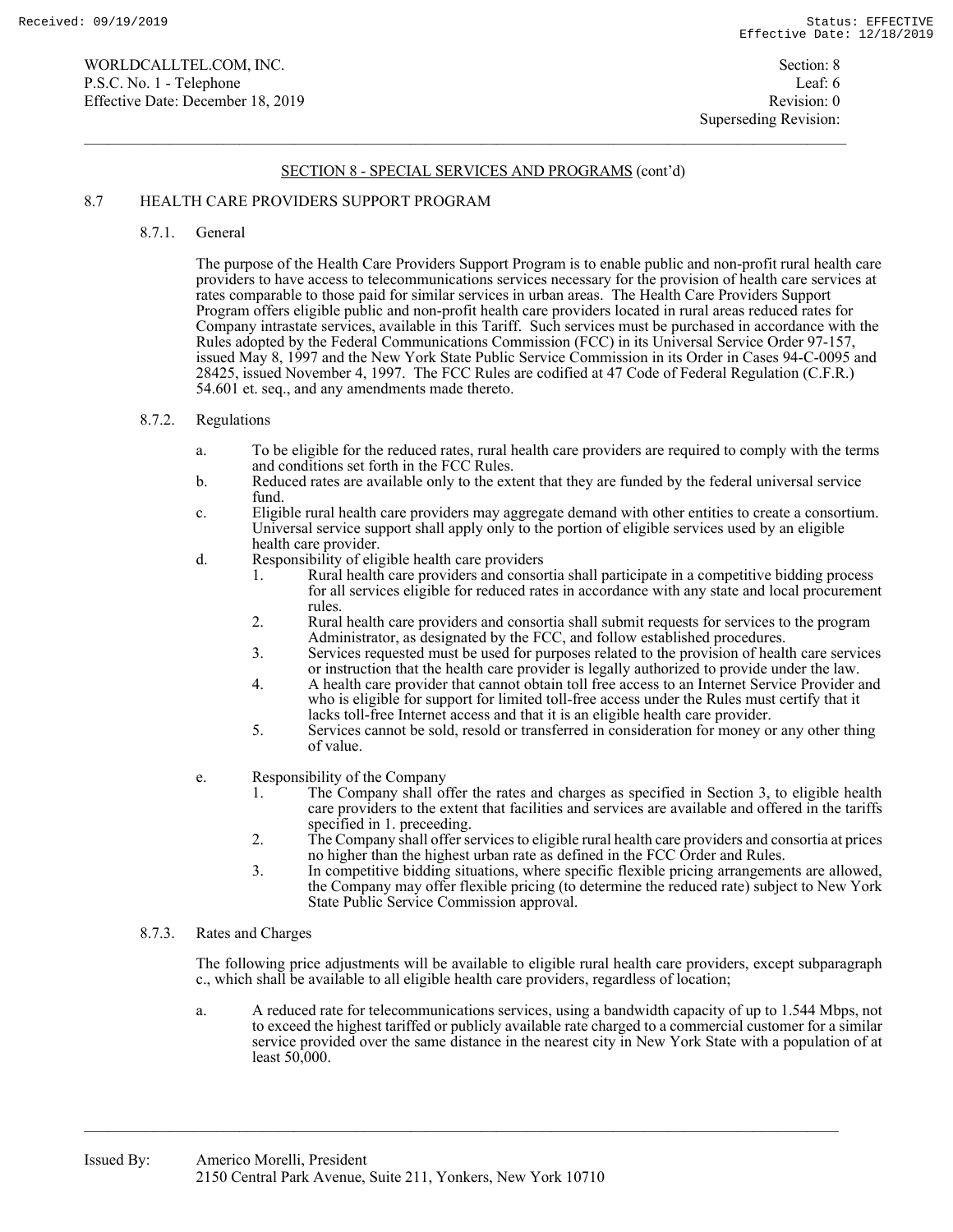## 8.7 HEALTH CARE PROVIDERS SUPPORT PROGRAM

8.7.1. General

The purpose of the Health Care Providers Support Program is to enable public and non-profit rural health care providers to have access to telecommunications services necessary for the provision of health care services at rates comparable to those paid for similar services in urban areas. The Health Care Providers Support Program offers eligible public and non-profit health care providers located in rural areas reduced rates for Company intrastate services, available in this Tariff. Such services must be purchased in accordance with the Rules adopted by the Federal Communications Commission (FCC) in its Universal Service Order 97-157, issued May 8, 1997 and the New York State Public Service Commission in its Order in Cases 94-C-0095 and 28425, issued November 4, 1997. The FCC Rules are codified at 47 Code of Federal Regulation (C.F.R.) 54.601 et. seq., and any amendments made thereto.

### 8.7.2. Regulations

- a. To be eligible for the reduced rates, rural health care providers are required to comply with the terms and conditions set forth in the FCC Rules.
- b. Reduced rates are available only to the extent that they are funded by the federal universal service fund.
- c. Eligible rural health care providers may aggregate demand with other entities to create a consortium. Universal service support shall apply only to the portion of eligible services used by an eligible health care provider.
- d. Responsibility of eligible health care providers
	- 1. Rural health care providers and consortia shall participate in a competitive bidding process for all services eligible for reduced rates in accordance with any state and local procurement rules.
	- 2. Rural health care providers and consortia shall submit requests for services to the program Administrator, as designated by the FCC, and follow established procedures.
	- 3. Services requested must be used for purposes related to the provision of health care services or instruction that the health care provider is legally authorized to provide under the law.
	- 4. A health care provider that cannot obtain toll free access to an Internet Service Provider and who is eligible for support for limited toll-free access under the Rules must certify that it lacks toll-free Internet access and that it is an eligible health care provider.
	- 5. Services cannot be sold, resold or transferred in consideration for money or any other thing of value.
- e. Responsibility of the Company
	- 1. The Company shall offer the rates and charges as specified in Section 3, to eligible health care providers to the extent that facilities and services are available and offered in the tariffs specified in 1. preceeding.
	- 2. The Company shall offer services to eligible rural health care providers and consortia at prices no higher than the highest urban rate as defined in the FCC Order and Rules.
	- 3. In competitive bidding situations, where specific flexible pricing arrangements are allowed, the Company may offer flexible pricing (to determine the reduced rate) subject to New York State Public Service Commission approval.
- 8.7.3. Rates and Charges

The following price adjustments will be available to eligible rural health care providers, except subparagraph c., which shall be available to all eligible health care providers, regardless of location;

a. A reduced rate for telecommunications services, using a bandwidth capacity of up to 1.544 Mbps, not to exceed the highest tariffed or publicly available rate charged to a commercial customer for a similar service provided over the same distance in the nearest city in New York State with a population of at least 50,000.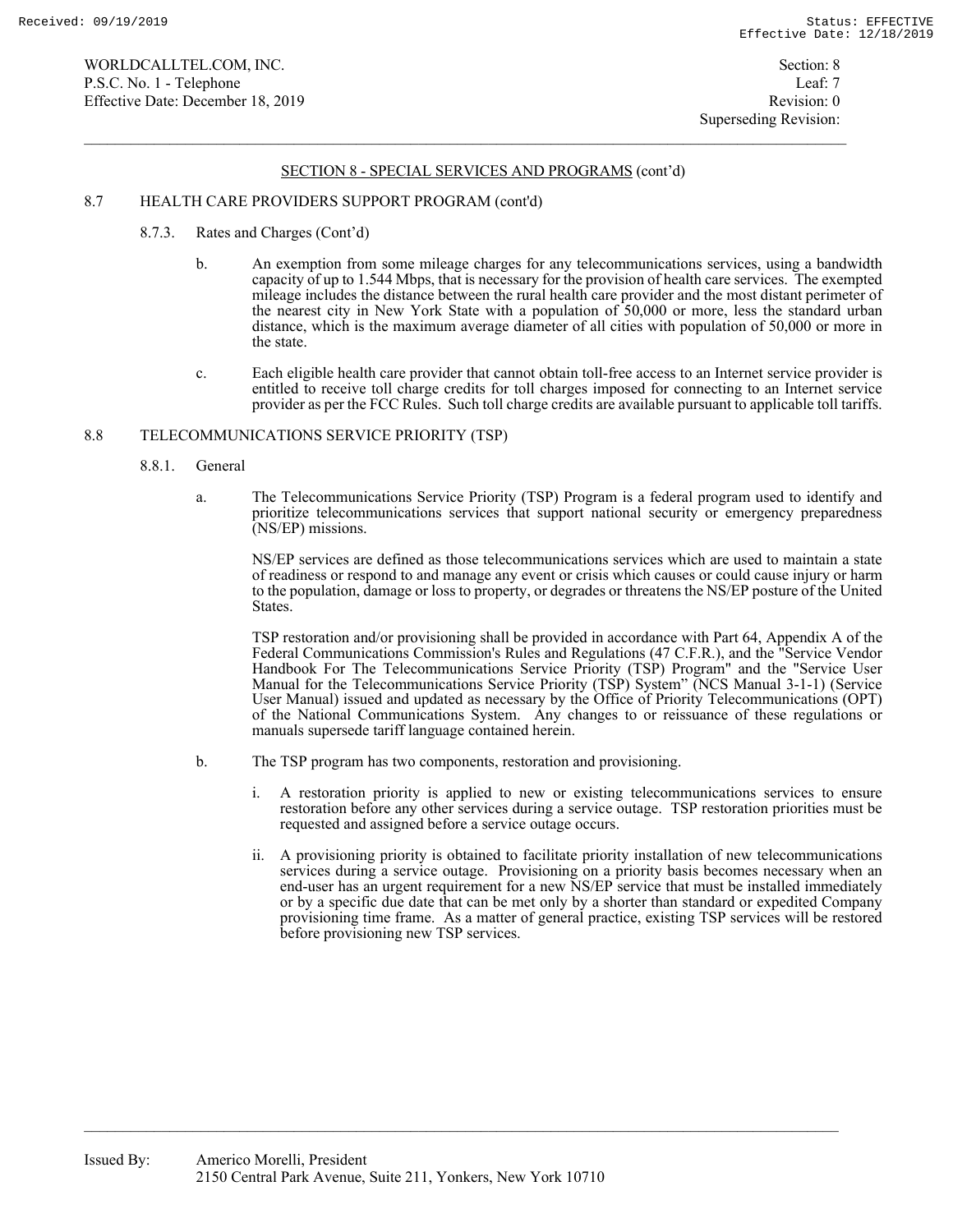#### 8.7 HEALTH CARE PROVIDERS SUPPORT PROGRAM (cont'd)

- 8.7.3. Rates and Charges (Cont'd)
	- b. An exemption from some mileage charges for any telecommunications services, using a bandwidth capacity of up to 1.544 Mbps, that is necessary for the provision of health care services. The exempted mileage includes the distance between the rural health care provider and the most distant perimeter of the nearest city in New York State with a population of 50,000 or more, less the standard urban distance, which is the maximum average diameter of all cities with population of 50,000 or more in the state.
	- c. Each eligible health care provider that cannot obtain toll-free access to an Internet service provider is entitled to receive toll charge credits for toll charges imposed for connecting to an Internet service provider as per the FCC Rules. Such toll charge credits are available pursuant to applicable toll tariffs.

#### 8.8 TELECOMMUNICATIONS SERVICE PRIORITY (TSP)

- 8.8.1. General
	- a. The Telecommunications Service Priority (TSP) Program is a federal program used to identify and prioritize telecommunications services that support national security or emergency preparedness (NS/EP) missions.

NS/EP services are defined as those telecommunications services which are used to maintain a state of readiness or respond to and manage any event or crisis which causes or could cause injury or harm to the population, damage or loss to property, or degrades or threatens the NS/EP posture of the United States.

TSP restoration and/or provisioning shall be provided in accordance with Part 64, Appendix A of the Federal Communications Commission's Rules and Regulations (47 C.F.R.), and the "Service Vendor Handbook For The Telecommunications Service Priority (TSP) Program" and the "Service User Manual for the Telecommunications Service Priority (TSP) System" (NCS Manual 3-1-1) (Service User Manual) issued and updated as necessary by the Office of Priority Telecommunications (OPT) of the National Communications System. Any changes to or reissuance of these regulations or manuals supersede tariff language contained herein.

- b. The TSP program has two components, restoration and provisioning.
	- i. A restoration priority is applied to new or existing telecommunications services to ensure restoration before any other services during a service outage. TSP restoration priorities must be requested and assigned before a service outage occurs.
	- ii. A provisioning priority is obtained to facilitate priority installation of new telecommunications services during a service outage. Provisioning on a priority basis becomes necessary when an end-user has an urgent requirement for a new NS/EP service that must be installed immediately or by a specific due date that can be met only by a shorter than standard or expedited Company provisioning time frame. As a matter of general practice, existing TSP services will be restored before provisioning new TSP services.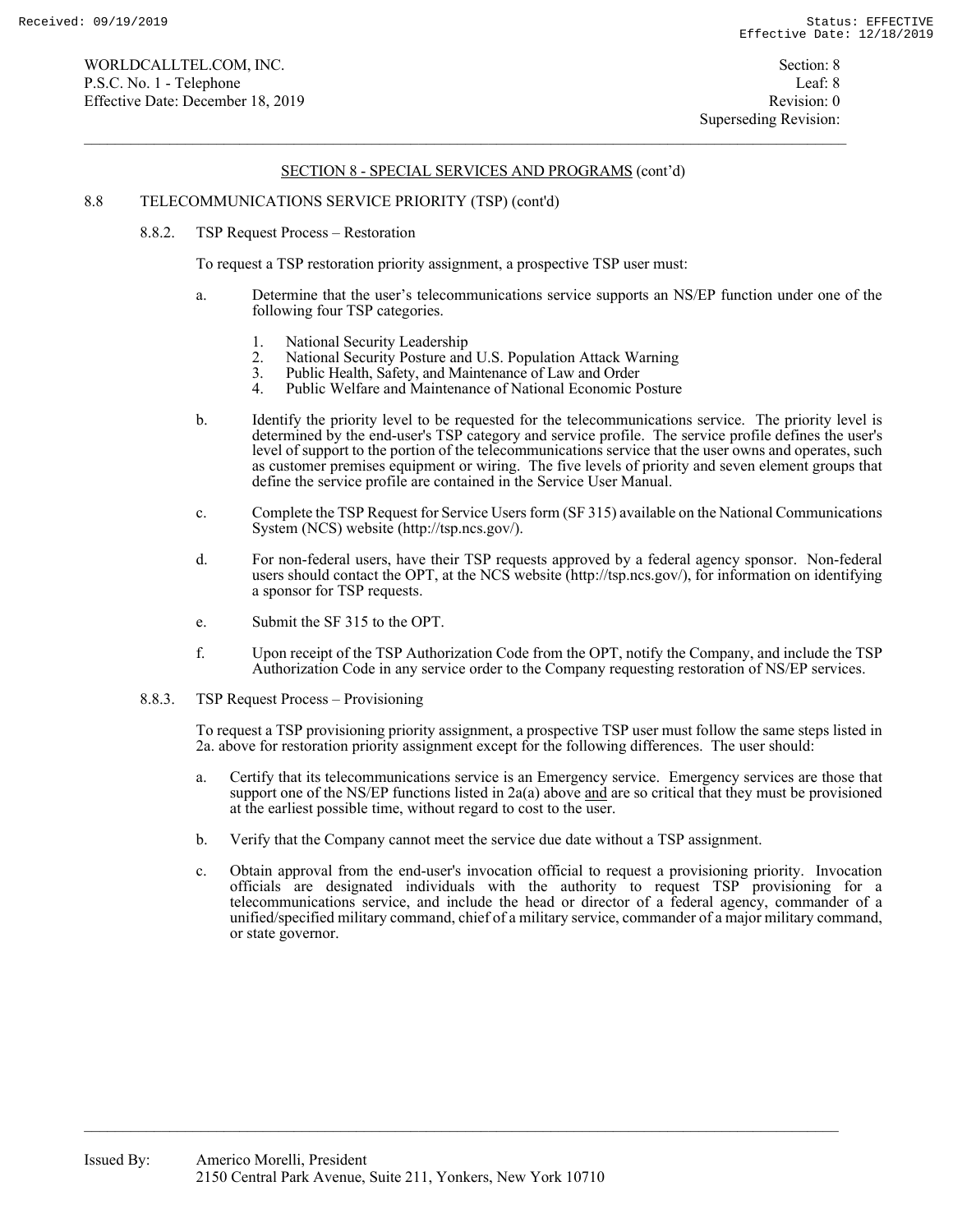#### 8.8 TELECOMMUNICATIONS SERVICE PRIORITY (TSP) (cont'd)

8.8.2. TSP Request Process – Restoration

To request a TSP restoration priority assignment, a prospective TSP user must:

- a. Determine that the user's telecommunications service supports an NS/EP function under one of the following four TSP categories.
	- 1. National Security Leadership
	- 2. National Security Posture and U.S. Population Attack Warning<br>3. Public Health, Safety, and Maintenance of Law and Order
	- 3. Public Health, Safety, and Maintenance of Law and Order
	- Public Welfare and Maintenance of National Economic Posture
- b. Identify the priority level to be requested for the telecommunications service. The priority level is determined by the end-user's TSP category and service profile. The service profile defines the user's level of support to the portion of the telecommunications service that the user owns and operates, such as customer premises equipment or wiring. The five levels of priority and seven element groups that define the service profile are contained in the Service User Manual.
- c. Complete the TSP Request for Service Users form (SF 315) available on the National Communications System (NCS) website (http://tsp.ncs.gov/).
- d. For non-federal users, have their TSP requests approved by a federal agency sponsor. Non-federal users should contact the OPT, at the NCS website (http://tsp.ncs.gov/), for information on identifying a sponsor for TSP requests.
- e. Submit the SF 315 to the OPT.
- f. Upon receipt of the TSP Authorization Code from the OPT, notify the Company, and include the TSP Authorization Code in any service order to the Company requesting restoration of NS/EP services.
- 8.8.3. TSP Request Process Provisioning

To request a TSP provisioning priority assignment, a prospective TSP user must follow the same steps listed in 2a. above for restoration priority assignment except for the following differences. The user should:

- a. Certify that its telecommunications service is an Emergency service. Emergency services are those that support one of the NS/EP functions listed in 2a(a) above and are so critical that they must be provisioned at the earliest possible time, without regard to cost to the user.
- b. Verify that the Company cannot meet the service due date without a TSP assignment.
- c. Obtain approval from the end-user's invocation official to request a provisioning priority. Invocation officials are designated individuals with the authority to request TSP provisioning for a telecommunications service, and include the head or director of a federal agency, commander of a unified/specified military command, chief of a military service, commander of a major military command, or state governor.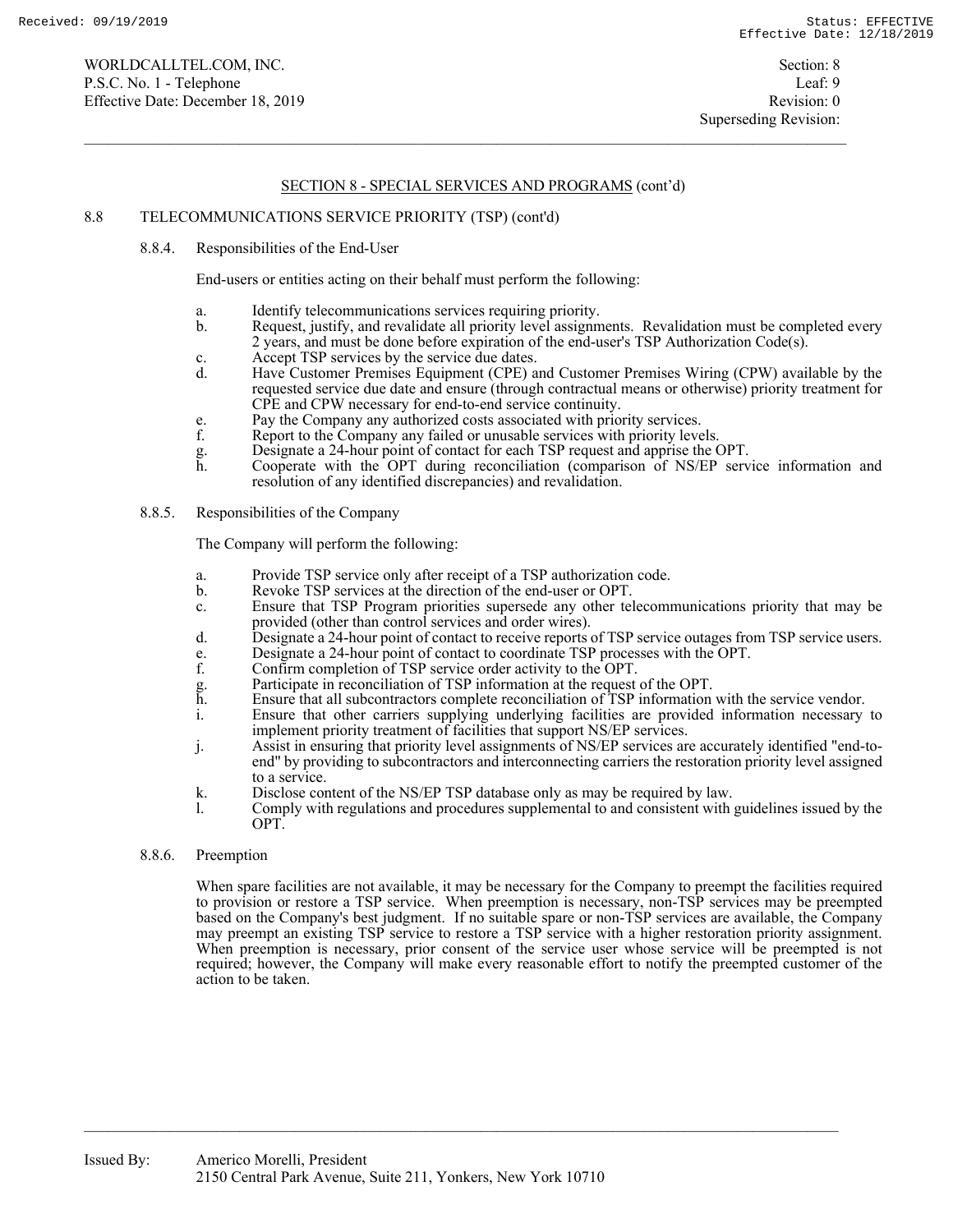## 8.8 TELECOMMUNICATIONS SERVICE PRIORITY (TSP) (cont'd)

8.8.4. Responsibilities of the End-User

End-users or entities acting on their behalf must perform the following:

- a. Identify telecommunications services requiring priority.
- b. Request, justify, and revalidate all priority level assignments. Revalidation must be completed every 2 years, and must be done before expiration of the end-user's TSP Authorization Code(s).
- c. Accept TSP services by the service due dates.
- d. Have Customer Premises Equipment (CPE) and Customer Premises Wiring (CPW) available by the requested service due date and ensure (through contractual means or otherwise) priority treatment for CPE and CPW necessary for end-to-end service continuity.
- e. Pay the Company any authorized costs associated with priority services.<br>
f. Report to the Company any failed or unusable services with priority leve
- Report to the Company any failed or unusable services with priority levels.
- 
- g. Designate a 24-hour point of contact for each TSP request and apprise the OPT. Cooperate with the OPT during reconciliation (comparison of NS/EP service information and resolution of any identified discrepancies) and revalidation.
- 8.8.5. Responsibilities of the Company

The Company will perform the following:

- a. Provide TSP service only after receipt of a TSP authorization code.
- b. Revoke TSP services at the direction of the end-user or OPT.
- c. Ensure that TSP Program priorities supersede any other telecommunications priority that may be provided (other than control services and order wires).
- d. Designate a 24-hour point of contact to receive reports of TSP service outages from TSP service users.
- e. Designate a 24-hour point of contact to coordinate TSP processes with the OPT.
- Confirm completion of TSP service order activity to the OPT.
- g. Participate in reconciliation of TSP information at the request of the OPT.
- h. Ensure that all subcontractors complete reconciliation of TSP information with the service vendor.
- i. Ensure that other carriers supplying underlying facilities are provided information necessary to implement priority treatment of facilities that support NS/EP services.
- j. Assist in ensuring that priority level assignments of NS/EP services are accurately identified "end-toend" by providing to subcontractors and interconnecting carriers the restoration priority level assigned to a service.
- k. Disclose content of the NS/EP TSP database only as may be required by law.
- l. Comply with regulations and procedures supplemental to and consistent with guidelines issued by the OPT.

## 8.8.6. Preemption

When spare facilities are not available, it may be necessary for the Company to preempt the facilities required to provision or restore a TSP service. When preemption is necessary, non-TSP services may be preempted based on the Company's best judgment. If no suitable spare or non-TSP services are available, the Company may preempt an existing TSP service to restore a TSP service with a higher restoration priority assignment. When preemption is necessary, prior consent of the service user whose service will be preempted is not required; however, the Company will make every reasonable effort to notify the preempted customer of the action to be taken.